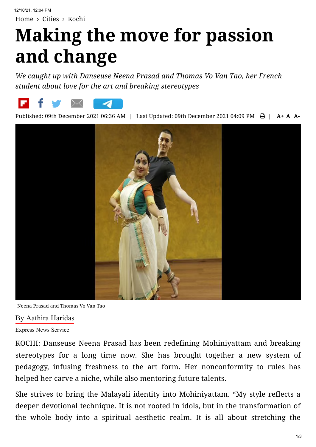## **Making the move for passion and change**

*We caught up with Danseuse Neena Prasad and Thomas Vo Van Tao, her French student about love for the art and breaking stereotypes*



Published: 09th December 2021 06:36 AM | Last Updated: 09th December 2021 04:09 PM  $\bigoplus$  | A+ A A-



Neena Prasad and Thomas Vo Van Tao

## By Aathira [Haridas](https://www.newindianexpress.com/author/Aathira-Haridas/12335)

Express News Service

KOCHI: Danseuse Neena Prasad has been redefining Mohiniyattam and breaking stereotypes for a long time now. She has brought together a new system of pedagogy, infusing freshness to the art form. Her nonconformity to rules has helped her carve a niche, while also mentoring future talents.

She strives to bring the Malayali identity into Mohiniyattam. "My style reflects a deeper devotional technique. It is not rooted in idols, but in the transformation of the whole body into a spiritual aesthetic realm. It is all about stretching the